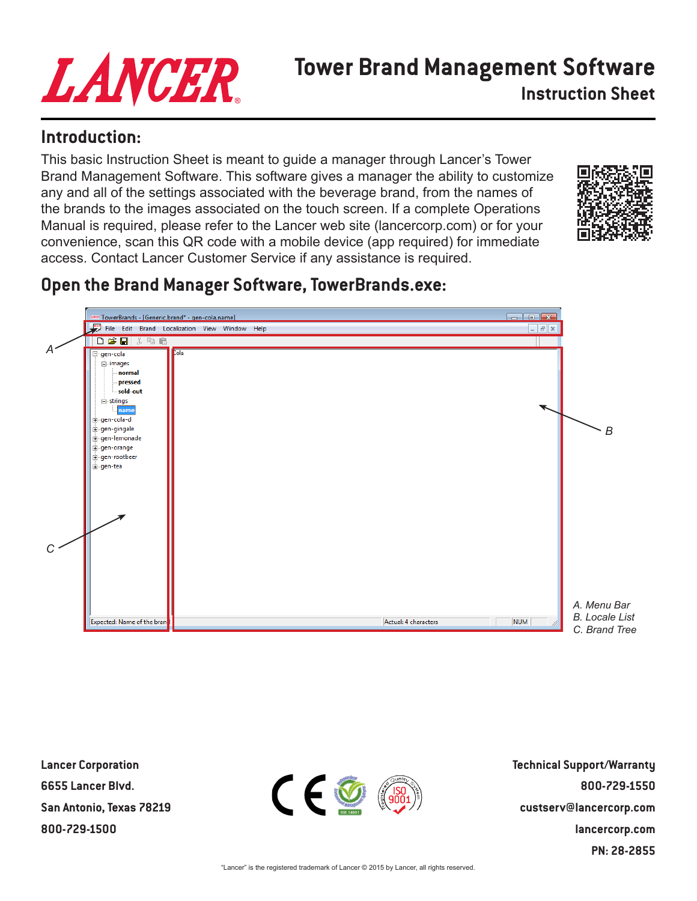# LANCER

# **Tower Brand Management Software Instruction Sheet**

## **Introduction:**

This basic Instruction Sheet is meant to guide a manager through Lancer's Tower Brand Management Software. This software gives a manager the ability to customize any and all of the settings associated with the beverage brand, from the names of the brands to the images associated on the touch screen. If a complete Operations Manual is required, please refer to the Lancer web site (lancercorp.com) or for your convenience, scan this QR code with a mobile device (app required) for immediate access. Contact Lancer Customer Service if any assistance is required.



# **Open the Brand Manager Software, TowerBrands.exe:**



**Lancer Corporation 6655 Lancer Blvd. San Antonio, Texas 78219 800-729-1500**



**Technical Support/Warranty 800-729-1550 custserv@lancercorp.com lancercorp.com PN: 28-2855**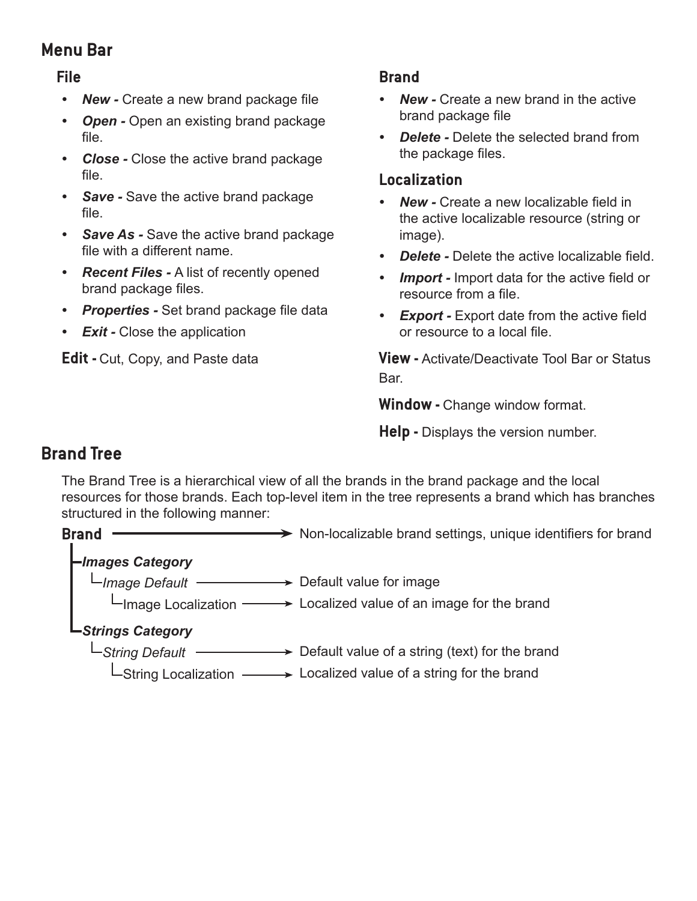## **Menu Bar**

#### **File**

- **New -** Create a new brand package file
- *• Open* Open an existing brand package file.
- *• Close* Close the active brand package file.
- *• Save -* Save the active brand package file.
- *• Save As* Save the active brand package file with a different name.
- *• Recent Files* A list of recently opened brand package files.
- *• Properties -* Set brand package file data
- *• Exit* Close the application

**Edit -** Cut, Copy, and Paste data

#### **Brand**

- *• New* Create a new brand in the active brand package file
- *• Delete* Delete the selected brand from the package files.

#### **Localization**

- *• New* Create a new localizable field in the active localizable resource (string or image).
- *• Delete* Delete the active localizable field.
- *Import -* Import data for the active field or resource from a file.
- **Export -** Export date from the active field or resource to a local file.

**View -** Activate/Deactivate Tool Bar or Status Bar.

**Window -** Change window format.

**Help -** Displays the version number.

## **Brand Tree**

The Brand Tree is a hierarchical view of all the brands in the brand package and the local resources for those brands. Each top-level item in the tree represents a brand which has branches structured in the following manner:

**Brand**  $\longrightarrow$  Non-localizable brand settings, unique identifiers for brand

#### *Images Category*

*Image Default* Default value for image

**I** Elmage Localization → Localized value of an image for the brand

#### *Strings Category*

 *String Default* **Exercise** Default value of a string (text) for the brand

String Localization Localized value of a string for the brand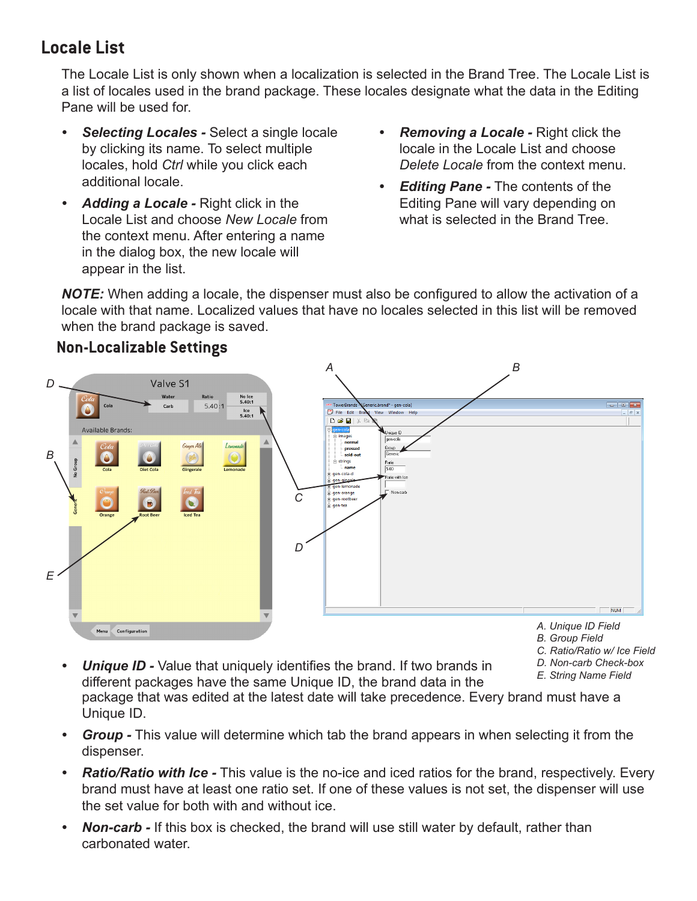# **Locale List**

The Locale List is only shown when a localization is selected in the Brand Tree. The Locale List is a list of locales used in the brand package. These locales designate what the data in the Editing Pane will be used for.

- *• Selecting Locales* Select a single locale by clicking its name. To select multiple locales, hold *Ctrl* while you click each additional locale.
- *• Adding a Locale* Right click in the Locale List and choose *New Locale* from the context menu. After entering a name in the dialog box, the new locale will appear in the list.
- *• Removing a Locale* Right click the locale in the Locale List and choose *Delete Locale* from the context menu.
- *• Editing Pane* The contents of the Editing Pane will vary depending on what is selected in the Brand Tree.

*NOTE:* When adding a locale, the dispenser must also be configured to allow the activation of a locale with that name. Localized values that have no locales selected in this list will be removed when the brand package is saved.



**Non-Localizable Settings**

Configuration

Menu

- *A. Unique ID Field*
- *B. Group Field*
- *C. Ratio/Ratio w/ Ice Field*

**NUM** 

- *D. Non-carb Check-box*
- 
- *E. Non-carb Chalue that uniquely identifies the brand.* If two brands in *P. Non-carb Check-b*<br>*E. String Name Field* different packages have the same Unique ID, the brand data in the package that was edited at the latest date will take precedence. Every brand must have a Unique ID.
- *• Group* This value will determine which tab the brand appears in when selecting it from the dispenser.
- *Ratio/Ratio with Ice -* This value is the no-ice and iced ratios for the brand, respectively. Every brand must have at least one ratio set. If one of these values is not set, the dispenser will use the set value for both with and without ice.
- *• Non-carb -* If this box is checked, the brand will use still water by default, rather than carbonated water.